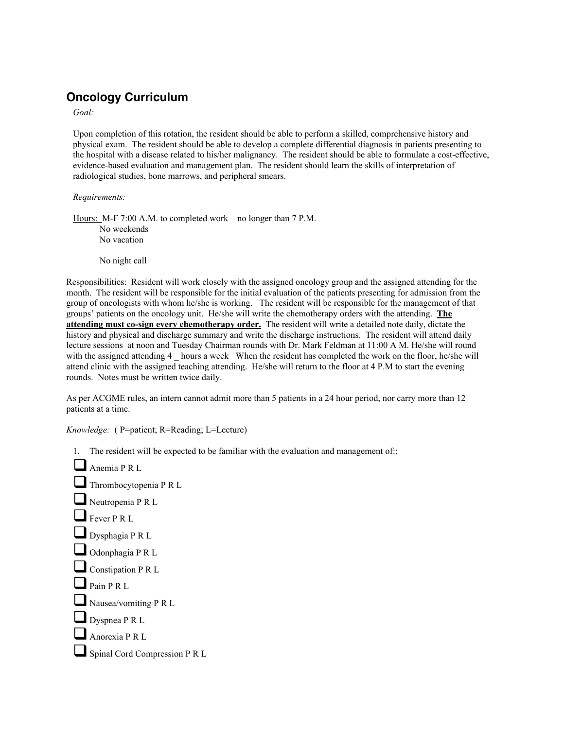## **Oncology Curriculum**

*Goal:*

Upon completion of this rotation, the resident should be able to perform a skilled, comprehensive history and physical exam. The resident should be able to develop a complete differential diagnosis in patients presenting to the hospital with a disease related to his/her malignancy. The resident should be able to formulate a cost-effective, evidence-based evaluation and management plan. The resident should learn the skills of interpretation of radiological studies, bone marrows, and peripheral smears.

*Requirements:*

Hours: M-F 7:00 A.M. to completed work – no longer than 7 P.M. No weekends No vacation

No night call

Responsibilities: Resident will work closely with the assigned oncology group and the assigned attending for the month. The resident will be responsible for the initial evaluation of the patients presenting for admission from the group of oncologists with whom he/she is working. The resident will be responsible for the management of that groups' patients on the oncology unit. He/she will write the chemotherapy orders with the attending. The attending must co-sign every chemotherapy order. The resident will write a detailed note daily, dictate the history and physical and discharge summary and write the discharge instructions. The resident will attend daily lecture sessions at noon and Tuesday Chairman rounds with Dr. Mark Feldman at 11:00 A M. He/she will round with the assigned attending 4 hours a week When the resident has completed the work on the floor, he/she will attend clinic with the assigned teaching attending. He/she will return to the floor at 4 P.M to start the evening rounds. Notes must be written twice daily.

As per ACGME rules, an intern cannot admit more than 5 patients in a 24 hour period, nor carry more than 12 patients at a time.

*Knowledge:* ( P=patient; R=Reading; L=Lecture)

1. The resident will be expected to be familiar with the evaluation and management of::

Anemia P R L

- Thrombocytopenia P R L
- Neutropenia P R L
- $\Box$  Fever P R L
- Dysphagia P R L
- Odonphagia P R L
- Constipation P R L
- Pain P R L
- Nausea/vomiting P R L
- $\Box$  Dyspnea P R L
- $\Box$  Anorexia P R L
- Spinal Cord Compression P R L